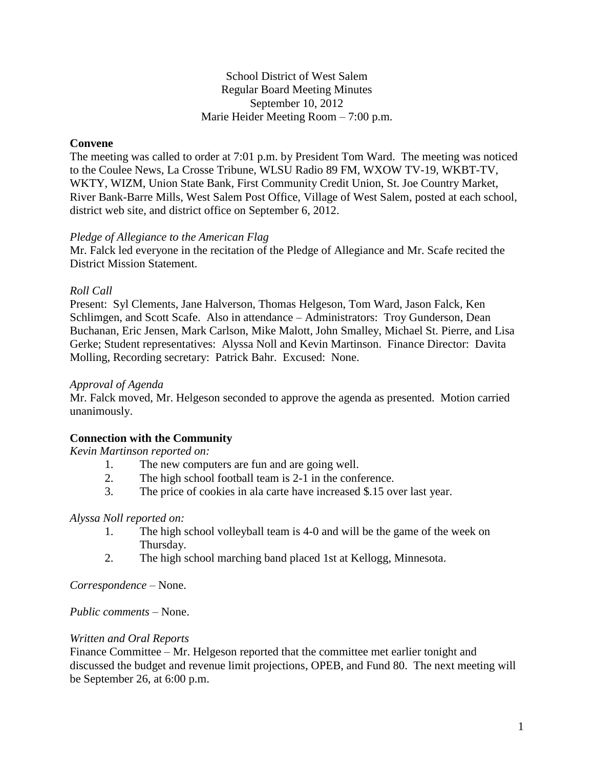## School District of West Salem Regular Board Meeting Minutes September 10, 2012 Marie Heider Meeting Room – 7:00 p.m.

## **Convene**

The meeting was called to order at 7:01 p.m. by President Tom Ward. The meeting was noticed to the Coulee News, La Crosse Tribune, WLSU Radio 89 FM, WXOW TV-19, WKBT-TV, WKTY, WIZM, Union State Bank, First Community Credit Union, St. Joe Country Market, River Bank-Barre Mills, West Salem Post Office, Village of West Salem, posted at each school, district web site, and district office on September 6, 2012.

#### *Pledge of Allegiance to the American Flag*

Mr. Falck led everyone in the recitation of the Pledge of Allegiance and Mr. Scafe recited the District Mission Statement.

## *Roll Call*

Present: Syl Clements, Jane Halverson, Thomas Helgeson, Tom Ward, Jason Falck, Ken Schlimgen, and Scott Scafe. Also in attendance – Administrators: Troy Gunderson, Dean Buchanan, Eric Jensen, Mark Carlson, Mike Malott, John Smalley, Michael St. Pierre, and Lisa Gerke; Student representatives: Alyssa Noll and Kevin Martinson. Finance Director: Davita Molling, Recording secretary: Patrick Bahr. Excused: None.

#### *Approval of Agenda*

Mr. Falck moved, Mr. Helgeson seconded to approve the agenda as presented. Motion carried unanimously.

# **Connection with the Community**

*Kevin Martinson reported on:*

- 1. The new computers are fun and are going well.
- 2. The high school football team is 2-1 in the conference.
- 3. The price of cookies in ala carte have increased \$.15 over last year.

#### *Alyssa Noll reported on:*

- 1. The high school volleyball team is 4-0 and will be the game of the week on Thursday.
- 2. The high school marching band placed 1st at Kellogg, Minnesota.

*Correspondence* – None.

*Public comments –* None.

#### *Written and Oral Reports*

Finance Committee – Mr. Helgeson reported that the committee met earlier tonight and discussed the budget and revenue limit projections, OPEB, and Fund 80. The next meeting will be September 26, at 6:00 p.m.